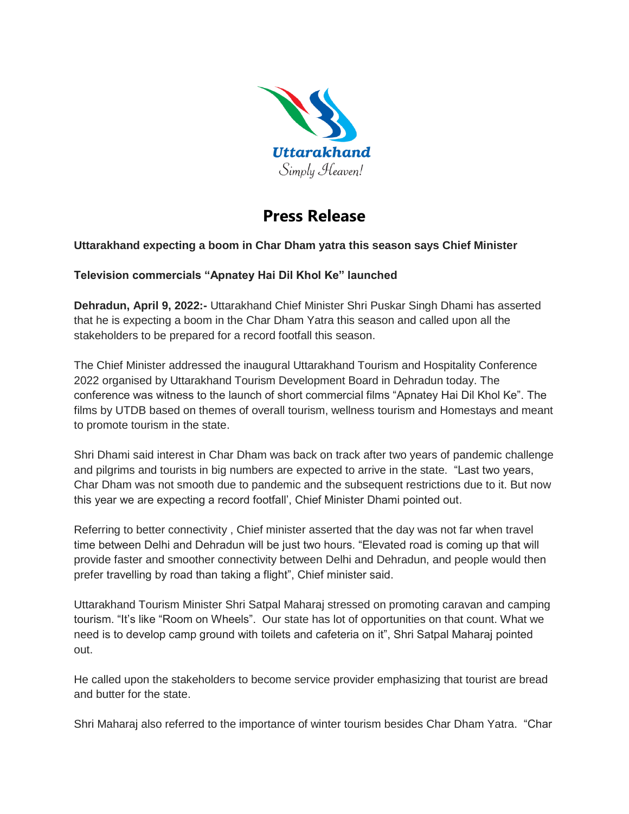

## **Press Release**

## **Uttarakhand expecting a boom in Char Dham yatra this season says Chief Minister**

## **Television commercials "Apnatey Hai Dil Khol Ke" launched**

**Dehradun, April 9, 2022:-** Uttarakhand Chief Minister Shri Puskar Singh Dhami has asserted that he is expecting a boom in the Char Dham Yatra this season and called upon all the stakeholders to be prepared for a record footfall this season.

The Chief Minister addressed the inaugural Uttarakhand Tourism and Hospitality Conference 2022 organised by Uttarakhand Tourism Development Board in Dehradun today. The conference was witness to the launch of short commercial films "Apnatey Hai Dil Khol Ke". The films by UTDB based on themes of overall tourism, wellness tourism and Homestays and meant to promote tourism in the state.

Shri Dhami said interest in Char Dham was back on track after two years of pandemic challenge and pilgrims and tourists in big numbers are expected to arrive in the state. "Last two years, Char Dham was not smooth due to pandemic and the subsequent restrictions due to it. But now this year we are expecting a record footfall', Chief Minister Dhami pointed out.

Referring to better connectivity , Chief minister asserted that the day was not far when travel time between Delhi and Dehradun will be just two hours. "Elevated road is coming up that will provide faster and smoother connectivity between Delhi and Dehradun, and people would then prefer travelling by road than taking a flight", Chief minister said.

Uttarakhand Tourism Minister Shri Satpal Maharaj stressed on promoting caravan and camping tourism. "It's like "Room on Wheels". Our state has lot of opportunities on that count. What we need is to develop camp ground with toilets and cafeteria on it", Shri Satpal Maharaj pointed out.

He called upon the stakeholders to become service provider emphasizing that tourist are bread and butter for the state.

Shri Maharaj also referred to the importance of winter tourism besides Char Dham Yatra. "Char